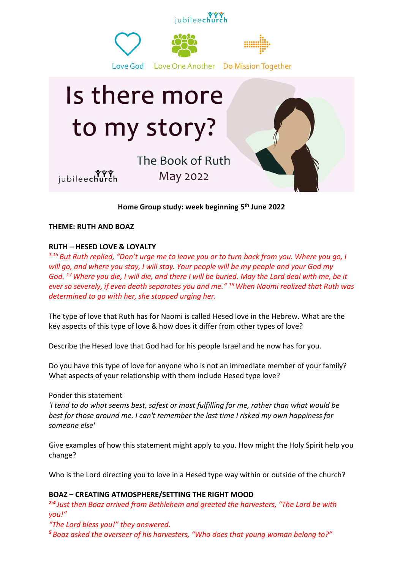

**Home Group study: week beginning 5 th June 2022**

**THEME: RUTH AND BOAZ**

## **RUTH – HESED LOVE & LOYALTY**

*1.16 But Ruth replied, "Don't urge me to leave you or to turn back from you. Where you go, I will go, and where you stay, I will stay. Your people will be my people and your God my God. <sup>17</sup>Where you die, I will die, and there I will be buried. May the Lord deal with me, be it ever so severely, if even death separates you and me." <sup>18</sup>When Naomi realized that Ruth was determined to go with her, she stopped urging her.*

The type of love that Ruth has for Naomi is called Hesed love in the Hebrew. What are the key aspects of this type of love & how does it differ from other types of love?

Describe the Hesed love that God had for his people Israel and he now has for you.

Do you have this type of love for anyone who is not an immediate member of your family? What aspects of your relationship with them include Hesed type love?

## Ponder this statement

*'I tend to do what seems best, safest or most fulfilling for me, rather than what would be best for those around me. I can't remember the last time I risked my own happiness for someone else'*

Give examples of how this statement might apply to you. How might the Holy Spirit help you change?

Who is the Lord directing you to love in a Hesed type way within or outside of the church?

## **BOAZ – CREATING ATMOSPHERE/SETTING THE RIGHT MOOD**

*2:4 Just then Boaz arrived from Bethlehem and greeted the harvesters, "The Lord be with you!"*

*"The Lord bless you!" they answered.*

*<sup>5</sup> Boaz asked the overseer of his harvesters, "Who does that young woman belong to?"*